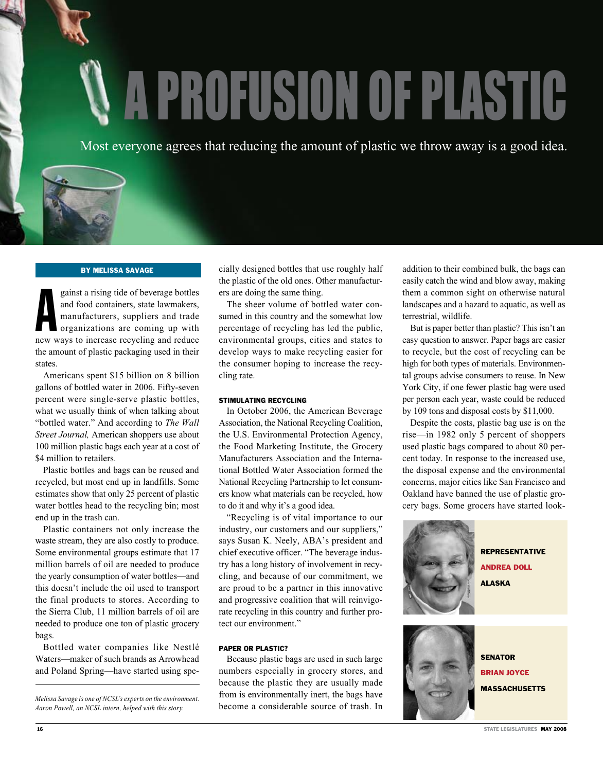A PROFUSION OF PLASTIC

Most everyone agrees that reducing the amount of plastic we throw away is a good idea.

## By Melissa Savage

gainst a rising tide of beverage bottles<br>and food containers, state lawmakers,<br>manufacturers, suppliers and trade<br>organizations are coming up with<br>new ways to increase recycling and reduce gainst a rising tide of beverage bottles and food containers, state lawmakers, manufacturers, suppliers and trade organizations are coming up with the amount of plastic packaging used in their states.

Americans spent \$15 billion on 8 billion gallons of bottled water in 2006. Fifty-seven percent were single-serve plastic bottles, what we usually think of when talking about "bottled water." And according to *The Wall Street Journal,* American shoppers use about 100 million plastic bags each year at a cost of \$4 million to retailers.

Plastic bottles and bags can be reused and recycled, but most end up in landfills. Some estimates show that only 25 percent of plastic water bottles head to the recycling bin; most end up in the trash can.

Plastic containers not only increase the waste stream, they are also costly to produce. Some environmental groups estimate that 17 million barrels of oil are needed to produce the yearly consumption of water bottles—and this doesn't include the oil used to transport the final products to stores. According to the Sierra Club, 11 million barrels of oil are needed to produce one ton of plastic grocery bags.

Bottled water companies like Nestlé Waters—maker of such brands as Arrowhead and Poland Spring—have started using specially designed bottles that use roughly half the plastic of the old ones. Other manufacturers are doing the same thing.

The sheer volume of bottled water consumed in this country and the somewhat low percentage of recycling has led the public, environmental groups, cities and states to develop ways to make recycling easier for the consumer hoping to increase the recycling rate.

## Stimulating Recycling

In October 2006, the American Beverage Association, the National Recycling Coalition, the U.S. Environmental Protection Agency, the Food Marketing Institute, the Grocery Manufacturers Association and the International Bottled Water Association formed the National Recycling Partnership to let consumers know what materials can be recycled, how to do it and why it's a good idea.

"Recycling is of vital importance to our industry, our customers and our suppliers," says Susan K. Neely, ABA's president and chief executive officer. "The beverage industry has a long history of involvement in recycling, and because of our commitment, we are proud to be a partner in this innovative and progressive coalition that will reinvigorate recycling in this country and further protect our environment."

## Paper or Plastic?

Because plastic bags are used in such large numbers especially in grocery stores, and because the plastic they are usually made from is environmentally inert, the bags have become a considerable source of trash. In

addition to their combined bulk, the bags can easily catch the wind and blow away, making them a common sight on otherwise natural landscapes and a hazard to aquatic, as well as terrestrial, wildlife.

But is paper better than plastic? This isn't an easy question to answer. Paper bags are easier to recycle, but the cost of recycling can be high for both types of materials. Environmental groups advise consumers to reuse. In New York City, if one fewer plastic bag were used per person each year, waste could be reduced by 109 tons and disposal costs by \$11,000.

Despite the costs, plastic bag use is on the rise—in 1982 only 5 percent of shoppers used plastic bags compared to about 80 percent today. In response to the increased use, the disposal expense and the environmental concerns, major cities like San Francisco and Oakland have banned the use of plastic grocery bags. Some grocers have started look-





**SENATOR** Brian Joyce **MASSACHUSETTS** 

*Melissa Savage is one of NCSL's experts on the environment. Aaron Powell, an NCSL intern, helped with this story.*